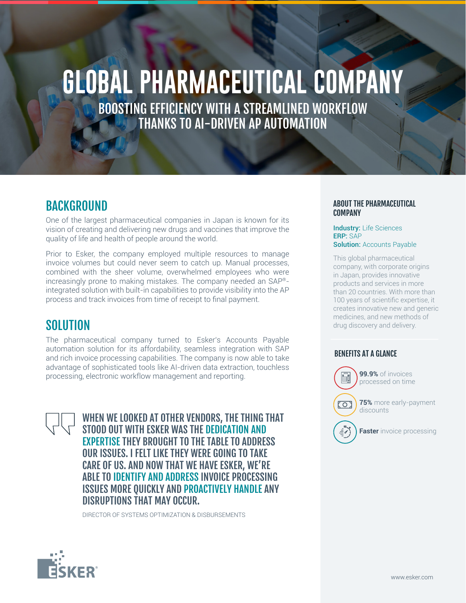# **GLOBAL PHARMACEUTICAL COMPANY**

BOOSTING EFFICIENCY WITH A STREAMLINED WORKFLOW THANKS TO AI-DRIVEN AP AUTOMATION

## BACKGROUND

One of the largest pharmaceutical companies in Japan is known for its vision of creating and delivering new drugs and vaccines that improve the quality of life and health of people around the world.

Prior to Esker, the company employed multiple resources to manage invoice volumes but could never seem to catch up. Manual processes, combined with the sheer volume, overwhelmed employees who were increasingly prone to making mistakes. The company needed an SAP® integrated solution with built-in capabilities to provide visibility into the AP process and track invoices from time of receipt to final payment.

## **SOLUTION**

The pharmaceutical company turned to Esker's Accounts Payable automation solution for its affordability, seamless integration with SAP and rich invoice processing capabilities. The company is now able to take advantage of sophisticated tools like AI-driven data extraction, touchless processing, electronic workflow management and reporting.

> WHEN WE LOOKED AT OTHER VENDORS, THE THING THAT STOOD OUT WITH ESKER WAS THE DEDICATION AND EXPERTISE THEY BROUGHT TO THE TABLE TO ADDRESS OUR ISSUES. I FELT LIKE THEY WERE GOING TO TAKE CARE OF US. AND NOW THAT WE HAVE ESKER, WE'RE ABLE TO IDENTIFY AND ADDRESS INVOICE PROCESSING ISSUES MORE QUICKLY AND PROACTIVELY HANDLE ANY DISRUPTIONS THAT MAY OCCUR.

DIRECTOR OF SYSTEMS OPTIMIZATION & DISBURSEMENTS

#### ABOUT THE PHARMACEUTICAL **COMPANY**

Industry: Life Sciences ERP: SAP **Solution: Accounts Payable** 

This global pharmaceutical company, with corporate origins in Japan, provides innovative products and services in more than 20 countries. With more than 100 years of scientific expertise, it creates innovative new and generic medicines, and new methods of drug discovery and delivery.

#### BENEFITS AT A GLANCE